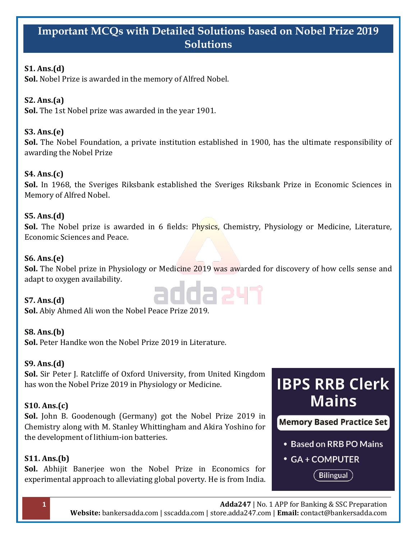# **Important MCQs with Detailed Solutions based on Nobel Prize 2019 Solutions**

## **S1. Ans.(d)**

**Sol.** Nobel Prize is awarded in the memory of Alfred Nobel.

## **S2. Ans.(a)**

**Sol.** The 1st Nobel prize was awarded in the year 1901.

## **S3. Ans.(e)**

**Sol.** The Nobel Foundation, a private institution established in 1900, has the ultimate responsibility of awarding the Nobel Prize

## **S4. Ans.(c)**

**Sol.** In 1968, the Sveriges Riksbank established the Sveriges Riksbank Prize in Economic Sciences in Memory of Alfred Nobel.

## **S5. Ans.(d)**

**Sol.** The Nobel prize is awarded in 6 fields: Physics, Chemistry, Physiology or Medicine, Literature, Economic Sciences and Peace.

## **S6. Ans.(e)**

**Sol.** The Nobel prize in Physiology or Medicine 2019 was awarded for discovery of how cells sense and adapt to oxygen availability.

da 247

## **S7. Ans.(d)**

**Sol.** Abiy Ahmed Ali won the Nobel Peace Prize 2019.

## **S8. Ans.(b)**

**Sol.** Peter Handke won the Nobel Prize 2019 in Literature.

## **S9. Ans.(d)**

**Sol.** Sir Peter J. Ratcliffe of Oxford University, from United Kingdom has won the Nobel Prize 2019 in Physiology or Medicine.

## **S10. Ans.(c)**

**Sol.** John B. Goodenough (Germany) got the Nobel Prize 2019 in Chemistry along with M. Stanley Whittingham and Akira Yoshino for the development of lithium-ion batteries.

## **S11. Ans.(b)**

**Sol.** Abhijit Banerjee won the Nobel Prize in Economics for experimental approach to alleviating global poverty. He is from India.

# **IBPS RRB Clerk Mains**

**Memory Based Practice Set** 

- Based on RRB PO Mains
- GA + COMPUTER

**Bilingual**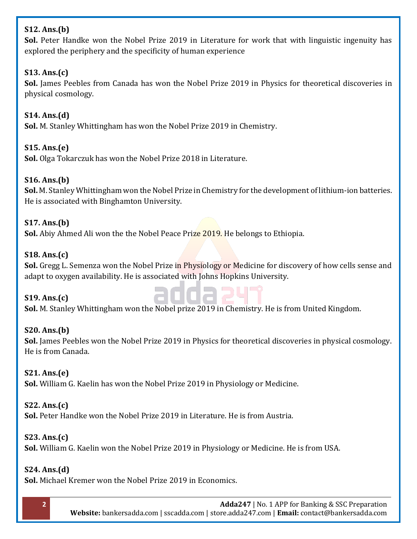## **S12. Ans.(b)**

**Sol.** Peter Handke won the Nobel Prize 2019 in Literature for work that with linguistic ingenuity has explored the periphery and the specificity of human experience

## **S13. Ans.(c)**

**Sol.** James Peebles from Canada has won the Nobel Prize 2019 in Physics for theoretical discoveries in physical cosmology.

## **S14. Ans.(d)**

**Sol.** M. Stanley Whittingham has won the Nobel Prize 2019 in Chemistry.

## **S15. Ans.(e)**

**Sol.** Olga Tokarczuk has won the Nobel Prize 2018 in Literature.

## **S16. Ans.(b)**

**Sol.** M. Stanley Whittingham won the Nobel Prize in Chemistry for the development of lithium-ion batteries. He is associated with Binghamton University.

## **S17. Ans.(b)**

**Sol.** Abiy Ahmed Ali won the the Nobel Peace Prize 2019. He belongs to Ethiopia.

#### **S18. Ans.(c)**

**Sol.** Gregg L. Semenza won the Nobel Prize in Physiology or Medicine for discovery of how cells sense and adapt to oxygen availability. He is associated with Johns Hopkins University.

#### **S19. Ans.(c)**



**Sol.** M. Stanley Whittingham won the Nobel prize 2019 in Chemistry. He is from United Kingdom.

## **S20. Ans.(b)**

**Sol.** James Peebles won the Nobel Prize 2019 in Physics for theoretical discoveries in physical cosmology. He is from Canada.

#### **S21. Ans.(e)**

**Sol.** William G. Kaelin has won the Nobel Prize 2019 in Physiology or Medicine.

#### **S22. Ans.(c)**

**Sol.** Peter Handke won the Nobel Prize 2019 in Literature. He is from Austria.

## **S23. Ans.(c)**

**Sol.** William G. Kaelin won the Nobel Prize 2019 in Physiology or Medicine. He is from USA.

#### **S24. Ans.(d)**

**Sol.** Michael Kremer won the Nobel Prize 2019 in Economics.

**2 Adda247** | No. 1 APP for Banking & SSC Preparation **Website:** bankersadda.com | sscadda.com | store.adda247.com | **Email:** contact@bankersadda.com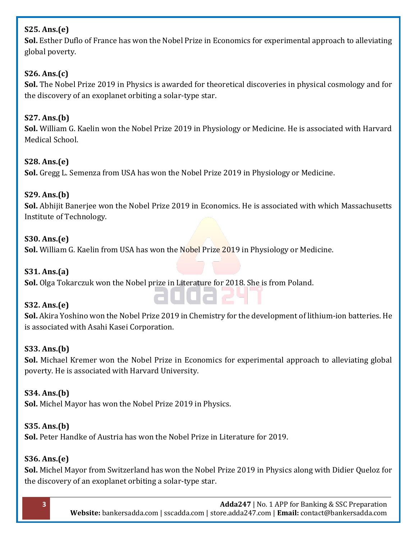## **S25. Ans.(e)**

**Sol.** Esther Duflo of France has won the Nobel Prize in Economics for experimental approach to alleviating global poverty.

## **S26. Ans.(c)**

**Sol.** The Nobel Prize 2019 in Physics is awarded for theoretical discoveries in physical cosmology and for the discovery of an exoplanet orbiting a solar-type star.

## **S27. Ans.(b)**

**Sol.** William G. Kaelin won the Nobel Prize 2019 in Physiology or Medicine. He is associated with Harvard Medical School.

## **S28. Ans.(e)**

**Sol.** Gregg L. Semenza from USA has won the Nobel Prize 2019 in Physiology or Medicine.

## **S29. Ans.(b)**

**Sol.** Abhijit Banerjee won the Nobel Prize 2019 in Economics. He is associated with which Massachusetts Institute of Technology.

## **S30. Ans.(e)**

Sol. William G. Kaelin from USA has won the Nobel Prize 2019 in Physiology or Medicine.

### **S31. Ans.(a)**

**Sol.** Olga Tokarczuk won the Nobel prize in Literature for 2018. She is from Poland.

## **S32. Ans.(e)**

**Sol.** Akira Yoshino won the Nobel Prize 2019 in Chemistry for the development of lithium-ion batteries. He is associated with Asahi Kasei Corporation.

## **S33. Ans.(b)**

**Sol.** Michael Kremer won the Nobel Prize in Economics for experimental approach to alleviating global poverty. He is associated with Harvard University.

## **S34. Ans.(b)**

**Sol.** Michel Mayor has won the Nobel Prize 2019 in Physics.

#### **S35. Ans.(b)**

**Sol.** Peter Handke of Austria has won the Nobel Prize in Literature for 2019.

## **S36. Ans.(e)**

**Sol.** Michel Mayor from Switzerland has won the Nobel Prize 2019 in Physics along with Didier Queloz for the discovery of an exoplanet orbiting a solar-type star.

**3 Adda247** | No. 1 APP for Banking & SSC Preparation **Website:** bankersadda.com | sscadda.com | store.adda247.com | **Email:** contact@bankersadda.com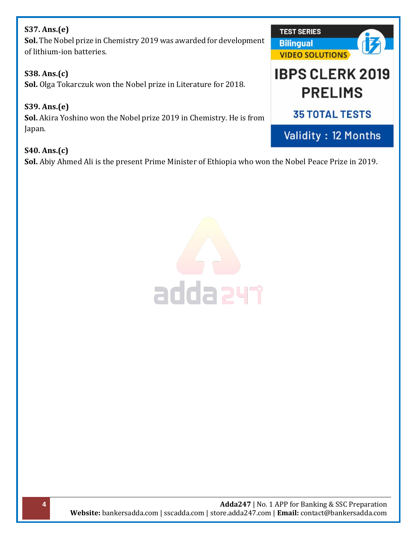## **S37. Ans.(e)**

**Sol.** The Nobel prize in Chemistry 2019 was awarded for development of lithium-ion batteries.

## **S38. Ans.(c)**

**Sol.** Olga Tokarczuk won the Nobel prize in Literature for 2018.

#### **S39. Ans.(e) Sol.** Akira Yoshino won the Nobel prize 2019 in Chemistry. He is from Japan.

**S40. Ans.(c) Sol.** Abiy Ahmed Ali is the present Prime Minister of Ethiopia who won the Nobel Peace Prize in 2019.